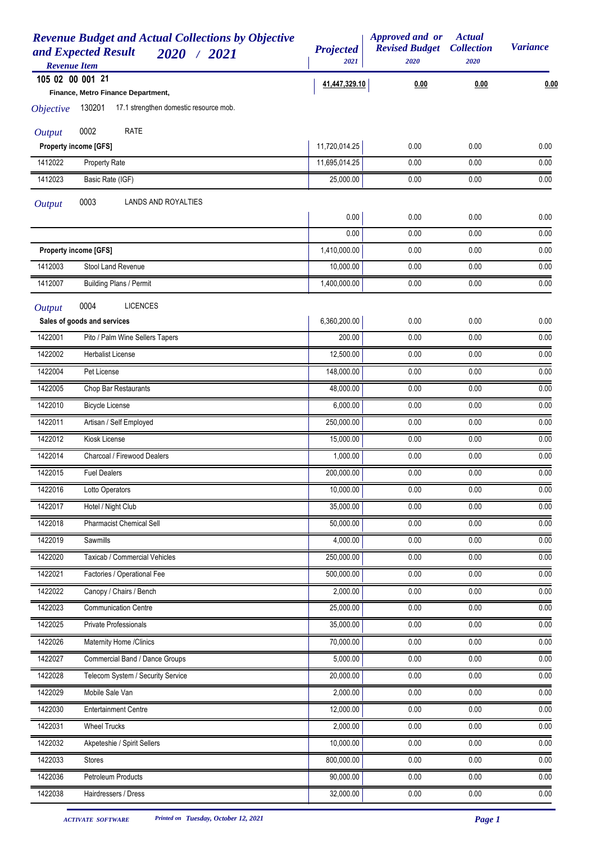| <b>Revenue Budget and Actual Collections by Objective</b><br>and Expected Result<br>2020 / 2021<br><b>Revenue Item</b> | <b>Projected</b><br>2021 | Approved and or<br><b>Revised Budget</b><br>2020 | <b>Actual</b><br><b>Collection</b><br>2020 | <b>Variance</b> |
|------------------------------------------------------------------------------------------------------------------------|--------------------------|--------------------------------------------------|--------------------------------------------|-----------------|
| 105 02 00 001 21                                                                                                       |                          |                                                  |                                            |                 |
| Finance, Metro Finance Department,                                                                                     | 41,447,329.10            | 0.00                                             | 0.00                                       | 0.00            |
| 17.1 strengthen domestic resource mob.<br>130201<br><i><b>Objective</b></i>                                            |                          |                                                  |                                            |                 |
| 0002<br><b>RATE</b><br><b>Output</b>                                                                                   |                          |                                                  |                                            |                 |
| Property income [GFS]                                                                                                  | 11,720,014.25            | 0.00                                             | 0.00                                       | 0.00            |
| 1412022<br>Property Rate                                                                                               | 11,695,014.25            | 0.00                                             | 0.00                                       | 0.00            |
| 1412023<br>Basic Rate (IGF)                                                                                            | 25,000.00                | 0.00                                             | 0.00                                       | 0.00            |
| 0003<br>LANDS AND ROYALTIES<br><b>Output</b>                                                                           |                          |                                                  |                                            |                 |
|                                                                                                                        | 0.00                     | 0.00                                             | 0.00                                       | 0.00            |
|                                                                                                                        | 0.00                     | 0.00                                             | 0.00                                       | 0.00            |
| <b>Property income [GFS]</b>                                                                                           | 1,410,000.00             | 0.00                                             | 0.00                                       | 0.00            |
| Stool Land Revenue<br>1412003                                                                                          | 10,000.00                | 0.00                                             | 0.00                                       | 0.00            |
| <b>Building Plans / Permit</b><br>1412007                                                                              | 1,400,000.00             | 0.00                                             | 0.00                                       | 0.00            |
| 0004<br><b>LICENCES</b>                                                                                                |                          |                                                  |                                            |                 |
| <b>Output</b><br>Sales of goods and services                                                                           | 6,360,200.00             | 0.00                                             | 0.00                                       | 0.00            |
| 1422001<br>Pito / Palm Wine Sellers Tapers                                                                             | 200.00                   | 0.00                                             | 0.00                                       | 0.00            |
| <b>Herbalist License</b><br>1422002                                                                                    | 12,500.00                | 0.00                                             | 0.00                                       | 0.00            |
| 1422004<br>Pet License                                                                                                 | 148,000.00               | 0.00                                             | 0.00                                       | 0.00            |
| 1422005<br>Chop Bar Restaurants                                                                                        | 48,000.00                | 0.00                                             | 0.00                                       | 0.00            |
| 1422010<br><b>Bicycle License</b>                                                                                      | 6,000.00                 | 0.00                                             | 0.00                                       | 0.00            |
| 1422011<br>Artisan / Self Employed                                                                                     | 250,000.00               | 0.00                                             | 0.00                                       | 0.00            |
| 1422012<br>Kiosk License                                                                                               | 15,000.00                | 0.00                                             | 0.00                                       | 0.00            |
| 1422014<br>Charcoal / Firewood Dealers                                                                                 | 1,000.00                 | 0.00                                             | 0.00                                       | 0.00            |
| 1422015<br><b>Fuel Dealers</b>                                                                                         | 200,000.00               | 0.00                                             | 0.00                                       | 0.00            |
| 1422016<br>Lotto Operators                                                                                             | 10,000.00                | 0.00                                             | 0.00                                       | 0.00            |
| 1422017<br>Hotel / Night Club                                                                                          | 35,000.00                | 0.00                                             | 0.00                                       | 0.00            |
| <b>Pharmacist Chemical Sell</b><br>1422018                                                                             | 50,000.00                | 0.00                                             | 0.00                                       | 0.00            |
| 1422019<br>Sawmills                                                                                                    | 4,000.00                 | 0.00                                             | 0.00                                       | 0.00            |
| 1422020<br>Taxicab / Commercial Vehicles                                                                               | 250,000.00               | 0.00                                             | 0.00                                       | 0.00            |
| 1422021<br>Factories / Operational Fee                                                                                 | 500,000.00               | 0.00                                             | 0.00                                       | 0.00            |
| Canopy / Chairs / Bench<br>1422022                                                                                     | 2,000.00                 | 0.00                                             | 0.00                                       | 0.00            |
| 1422023<br><b>Communication Centre</b>                                                                                 | 25,000.00                | 0.00                                             | 0.00                                       | 0.00            |
| 1422025<br>Private Professionals                                                                                       | 35,000.00                | 0.00                                             | 0.00                                       | 0.00            |
| Maternity Home / Clinics<br>1422026                                                                                    | 70,000.00                | 0.00                                             | 0.00                                       | 0.00            |
| 1422027<br>Commercial Band / Dance Groups                                                                              | 5,000.00                 | 0.00                                             | 0.00                                       | 0.00            |
| 1422028<br>Telecom System / Security Service                                                                           | 20,000.00                | 0.00                                             | 0.00                                       | 0.00            |
| 1422029<br>Mobile Sale Van                                                                                             | 2,000.00                 | 0.00                                             | 0.00                                       | 0.00            |
| 1422030<br><b>Entertainment Centre</b>                                                                                 | 12,000.00                | 0.00                                             | 0.00                                       | 0.00            |
| 1422031<br><b>Wheel Trucks</b>                                                                                         | 2,000.00                 | 0.00                                             | 0.00                                       | 0.00            |
| 1422032<br>Akpeteshie / Spirit Sellers                                                                                 | 10,000.00                | 0.00                                             | 0.00                                       | 0.00            |
| 1422033<br>Stores                                                                                                      | 800,000.00               | 0.00                                             | 0.00                                       | 0.00            |
| 1422036<br><b>Petroleum Products</b>                                                                                   | 90,000.00                | 0.00                                             | 0.00                                       | 0.00            |
| 1422038<br>Hairdressers / Dress                                                                                        | 32,000.00                | 0.00                                             | 0.00                                       | 0.00            |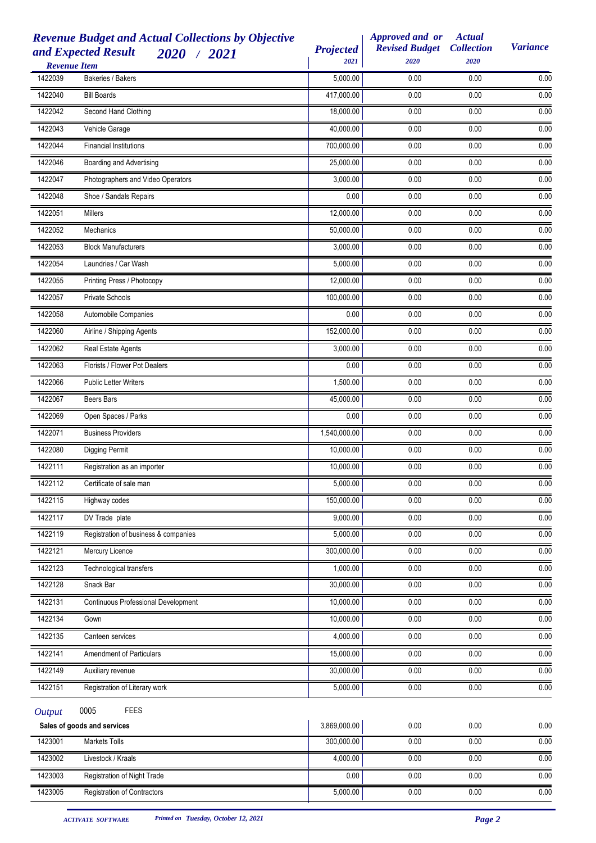|               | <b>Revenue Budget and Actual Collections by Objective</b><br>and Expected Result<br>2020 / 2021<br><b>Revenue Item</b> | <b>Projected</b><br>2021 | Approved and or<br><b>Revised Budget</b><br>2020 | <b>Actual</b><br><b>Collection</b><br>2020 | <b>Variance</b>   |
|---------------|------------------------------------------------------------------------------------------------------------------------|--------------------------|--------------------------------------------------|--------------------------------------------|-------------------|
| 1422039       | Bakeries / Bakers                                                                                                      | 5,000.00                 | 0.00                                             | 0.00                                       | 0.00              |
| 1422040       | <b>Bill Boards</b>                                                                                                     | 417,000.00               | 0.00                                             | 0.00                                       | 0.00              |
| 1422042       | Second Hand Clothing                                                                                                   | 18,000.00                | 0.00                                             | 0.00                                       | 0.00              |
| 1422043       | Vehicle Garage                                                                                                         | 40,000.00                | 0.00                                             | 0.00                                       | 0.00              |
| 1422044       | <b>Financial Institutions</b>                                                                                          | 700,000.00               | 0.00                                             | 0.00                                       | 0.00              |
| 1422046       | Boarding and Advertising                                                                                               | 25,000.00                | 0.00                                             | 0.00                                       | 0.00              |
| 1422047       | Photographers and Video Operators                                                                                      | 3,000.00                 | 0.00                                             | 0.00                                       | 0.00              |
| 1422048       | Shoe / Sandals Repairs                                                                                                 | 0.00                     | 0.00                                             | 0.00                                       | 0.00              |
| 1422051       | <b>Millers</b>                                                                                                         | 12,000.00                | 0.00                                             | 0.00                                       | 0.00              |
| 1422052       | Mechanics                                                                                                              | 50,000.00                | 0.00                                             | 0.00                                       | 0.00              |
| 1422053       | <b>Block Manufacturers</b>                                                                                             | 3,000.00                 | 0.00                                             | 0.00                                       | 0.00              |
| 1422054       | Laundries / Car Wash                                                                                                   | 5,000.00                 | 0.00                                             | 0.00                                       | 0.00              |
| 1422055       | Printing Press / Photocopy                                                                                             | 12,000.00                | 0.00                                             | 0.00                                       | 0.00              |
| 1422057       | <b>Private Schools</b>                                                                                                 | 100,000.00               | 0.00                                             | 0.00                                       | 0.00              |
| 1422058       | Automobile Companies                                                                                                   | 0.00                     | 0.00                                             | 0.00                                       | 0.00              |
| 1422060       | Airline / Shipping Agents                                                                                              | 152,000.00               | 0.00                                             | 0.00                                       | 0.00              |
| 1422062       | Real Estate Agents                                                                                                     | 3,000.00                 | 0.00                                             | 0.00                                       | 0.00              |
| 1422063       | Florists / Flower Pot Dealers                                                                                          | 0.00                     | 0.00                                             | 0.00                                       | 0.00              |
| 1422066       | <b>Public Letter Writers</b>                                                                                           | 1,500.00                 | 0.00                                             | 0.00                                       | 0.00              |
| 1422067       | Beers Bars                                                                                                             | 45,000.00                | 0.00                                             | 0.00                                       | 0.00              |
| 1422069       | Open Spaces / Parks                                                                                                    | 0.00                     | 0.00                                             | 0.00                                       | 0.00              |
| 1422071       | <b>Business Providers</b>                                                                                              | 1,540,000.00             | 0.00                                             | 0.00                                       | 0.00              |
| 1422080       | Digging Permit                                                                                                         | 10,000.00                | 0.00                                             | 0.00                                       | 0.00              |
| 1422111       | Registration as an importer                                                                                            | 10,000.00                | 0.00                                             | 0.00                                       | 0.00              |
| 1422112       | Certificate of sale man                                                                                                | 5,000.00                 | 0.00                                             | 0.00                                       | 0.00              |
| 1422115       | Highway codes                                                                                                          | 150,000.00               | 0.00                                             | 0.00                                       | 0.00              |
| 1422117       | DV Trade plate                                                                                                         | 9,000.00                 | 0.00                                             | 0.00                                       | 0.00              |
| 1422119       | Registration of business & companies                                                                                   | 5,000.00                 | 0.00                                             | 0.00                                       | $\overline{0.00}$ |
| 1422121       | Mercury Licence                                                                                                        | 300,000.00               | 0.00                                             | 0.00                                       | $0.00\,$          |
| 1422123       | Technological transfers                                                                                                | 1,000.00                 | 0.00                                             | 0.00                                       | 0.00              |
| 1422128       | Snack Bar                                                                                                              | 30,000.00                | 0.00                                             | 0.00                                       | $0.00\,$          |
| 1422131       | Continuous Professional Development                                                                                    | 10,000.00                | 0.00                                             | 0.00                                       | 0.00              |
| 1422134       | Gown                                                                                                                   | 10,000.00                | 0.00                                             | 0.00                                       | 0.00              |
| 1422135       | Canteen services                                                                                                       | 4,000.00                 | 0.00                                             | 0.00                                       | 0.00              |
| 1422141       | Amendment of Particulars                                                                                               | 15,000.00                | 0.00                                             | 0.00                                       | 0.00              |
| 1422149       | Auxiliary revenue                                                                                                      | 30,000.00                | 0.00                                             | 0.00                                       | 0.00              |
| 1422151       | Registration of Literary work                                                                                          | 5,000.00                 | 0.00                                             | 0.00                                       | 0.00              |
| <b>Output</b> | 0005<br><b>FEES</b>                                                                                                    |                          |                                                  |                                            |                   |
|               | Sales of goods and services                                                                                            | 3,869,000.00             | 0.00                                             | 0.00                                       | $0.00\,$          |
| 1423001       | Markets Tolls                                                                                                          | 300,000.00               | 0.00                                             | 0.00                                       | 0.00              |
| 1423002       | Livestock / Kraals                                                                                                     | 4,000.00                 | 0.00                                             | 0.00                                       | 0.00              |
| 1423003       | Registration of Night Trade                                                                                            | 0.00                     | 0.00                                             | 0.00                                       | 0.00              |
| 1423005       | Registration of Contractors                                                                                            | 5,000.00                 | 0.00                                             | 0.00                                       | 0.00              |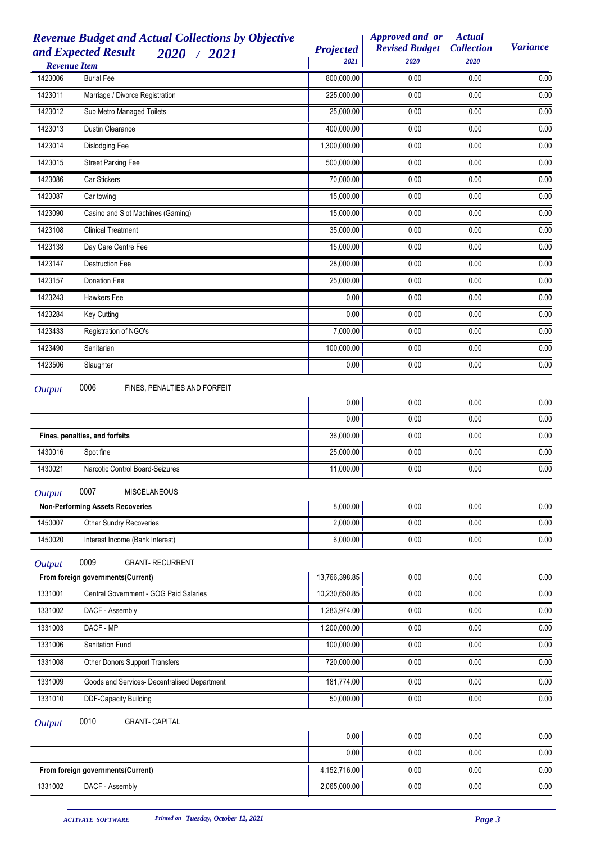| <b>Revenue Budget and Actual Collections by Objective</b><br>and Expected Result<br>2020 / 2021 | <b>Projected</b><br>2021 | Approved and or<br><b>Revised Budget</b><br>2020 | <b>Actual</b><br><b>Collection</b><br>2020 | <b>Variance</b> |
|-------------------------------------------------------------------------------------------------|--------------------------|--------------------------------------------------|--------------------------------------------|-----------------|
| <b>Revenue Item</b><br><b>Burial Fee</b><br>1423006                                             | 800,000.00               | 0.00                                             | 0.00                                       | 0.00            |
| 1423011<br>Marriage / Divorce Registration                                                      | 225,000.00               | 0.00                                             | 0.00                                       | 0.00            |
| Sub Metro Managed Toilets<br>1423012                                                            | 25,000.00                | 0.00                                             | 0.00                                       | 0.00            |
| 1423013<br>Dustin Clearance                                                                     | 400,000.00               | 0.00                                             | 0.00                                       | 0.00            |
| Dislodging Fee<br>1423014                                                                       | 1,300,000.00             | 0.00                                             | 0.00                                       | 0.00            |
| 1423015<br><b>Street Parking Fee</b>                                                            | 500,000.00               | 0.00                                             | 0.00                                       | 0.00            |
| 1423086<br>Car Stickers                                                                         | 70,000.00                | 0.00                                             | 0.00                                       | 0.00            |
| 1423087<br>Car towing                                                                           | 15,000.00                | 0.00                                             | 0.00                                       | 0.00            |
| 1423090<br>Casino and Slot Machines (Gaming)                                                    | 15,000.00                | 0.00                                             | 0.00                                       | 0.00            |
| <b>Clinical Treatment</b><br>1423108                                                            | 35,000.00                | 0.00                                             | 0.00                                       | 0.00            |
| 1423138<br>Day Care Centre Fee                                                                  | 15,000.00                | 0.00                                             | 0.00                                       | 0.00            |
| 1423147<br><b>Destruction Fee</b>                                                               | 28,000.00                | 0.00                                             | 0.00                                       | 0.00            |
| 1423157<br>Donation Fee                                                                         | 25,000.00                | 0.00                                             | 0.00                                       | 0.00            |
| 1423243<br>Hawkers Fee                                                                          | 0.00                     | 0.00                                             | 0.00                                       | 0.00            |
| 1423284<br>Key Cutting                                                                          | 0.00                     | 0.00                                             | 0.00                                       | 0.00            |
| 1423433<br>Registration of NGO's                                                                | 7,000.00                 | 0.00                                             | 0.00                                       | 0.00            |
| Sanitarian<br>1423490                                                                           | 100,000.00               | 0.00                                             | 0.00                                       | 0.00            |
| 1423506<br>Slaughter                                                                            | 0.00                     | 0.00                                             | 0.00                                       | 0.00            |
| 0006<br>FINES, PENALTIES AND FORFEIT<br><b>Output</b>                                           |                          |                                                  |                                            |                 |
|                                                                                                 | 0.00                     | 0.00                                             | 0.00                                       | 0.00            |
|                                                                                                 | 0.00                     | 0.00                                             | 0.00                                       | 0.00            |
| Fines, penalties, and forfeits                                                                  | 36,000.00                | 0.00                                             | 0.00                                       | 0.00            |
| 1430016<br>Spot fine                                                                            | 25,000.00                | 0.00                                             | 0.00                                       | 0.00            |
| 1430021<br>Narcotic Control Board-Seizures                                                      | 11,000.00                | 0.00                                             | 0.00                                       | 0.00            |
| 0007<br><b>MISCELANEOUS</b><br><b>Output</b>                                                    |                          |                                                  |                                            |                 |
| <b>Non-Performing Assets Recoveries</b>                                                         | 8,000.00                 | 0.00                                             | 0.00                                       | 0.00            |
| 1450007<br>Other Sundry Recoveries                                                              | 2,000.00                 | 0.00                                             | 0.00                                       | 0.00            |
| 1450020<br>Interest Income (Bank Interest)                                                      | 6,000.00                 | 0.00                                             | 0.00                                       | 0.00            |
| 0009                                                                                            |                          |                                                  |                                            |                 |
| <b>GRANT- RECURRENT</b><br><b>Output</b><br>From foreign governments(Current)                   | 13,766,398.85            | 0.00                                             | 0.00                                       | 0.00            |
| 1331001<br>Central Government - GOG Paid Salaries                                               | 10,230,650.85            | 0.00                                             | 0.00                                       | 0.00            |
| 1331002<br>DACF - Assembly                                                                      | 1,283,974.00             | 0.00                                             | 0.00                                       | 0.00            |
| 1331003<br>DACF - MP                                                                            | 1,200,000.00             | 0.00                                             | 0.00                                       | 0.00            |
| 1331006<br>Sanitation Fund                                                                      | 100,000.00               | 0.00                                             | 0.00                                       | 0.00            |
| 1331008<br>Other Donors Support Transfers                                                       | 720,000.00               | 0.00                                             | 0.00                                       | 0.00            |
| Goods and Services- Decentralised Department                                                    | 181,774.00               |                                                  | 0.00                                       | 0.00            |
| 1331009<br>1331010<br><b>DDF-Capacity Building</b>                                              | 50,000.00                | 0.00<br>0.00                                     | 0.00                                       | 0.00            |
|                                                                                                 |                          |                                                  |                                            |                 |
| 0010<br><b>GRANT- CAPITAL</b><br><b>Output</b>                                                  |                          |                                                  |                                            |                 |
|                                                                                                 | 0.00                     | 0.00                                             | 0.00                                       | 0.00            |
|                                                                                                 | 0.00                     | 0.00                                             | 0.00                                       | 0.00            |
| From foreign governments(Current)                                                               | 4,152,716.00             | 0.00                                             | 0.00                                       | 0.00            |
| DACF - Assembly<br>1331002                                                                      | 2,065,000.00             | 0.00                                             | 0.00                                       | 0.00            |